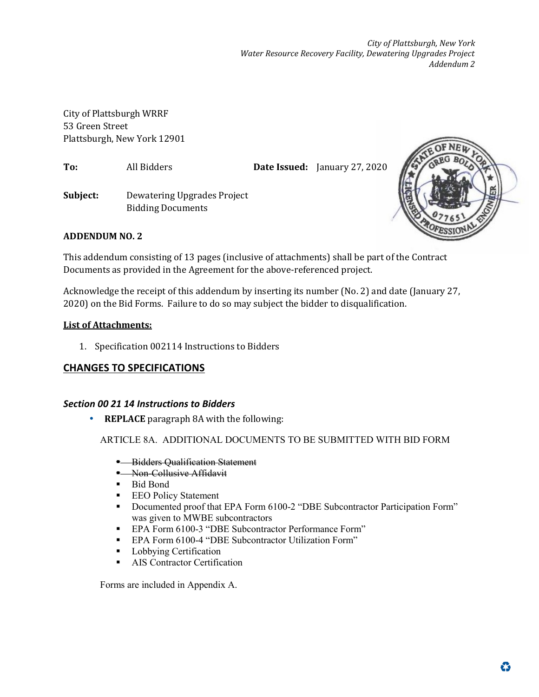*City of Plattsburgh, New York Water Resource Recovery Facility, Dewatering Upgrades Project Addendum 2* 

City of Plattsburgh WRRF 53 Green Street Plattsburgh, New York 12901

**To:** All Bidders **Date Issued:** January 27, 2020

**Subject:** Dewatering Upgrades Project Bidding Documents



# **ADDENDUM NO. 2**

This addendum consisting of 13 pages (inclusive of attachments) shall be part of the Contract Documents as provided in the Agreement for the above-referenced project.

Acknowledge the receipt of this addendum by inserting its number (No. 2) and date (January 27, 2020) on the Bid Forms. Failure to do so may subject the bidder to disqualification.

## **List of Attachments:**

1. Specification 002114 Instructions to Bidders

# **CHANGES TO SPECIFICATIONS**

## *Section 00 21 14 Instructions to Bidders*

• **REPLACE** paragraph 8A with the following:

ARTICLE 8A. ADDITIONAL DOCUMENTS TO BE SUBMITTED WITH BID FORM

- **Bidders Qualification Statement**
- Non-Collusive Affidavit
- Bid Bond
- **EEO Policy Statement**
- Documented proof that EPA Form 6100-2 "DBE Subcontractor Participation Form" was given to MWBE subcontractors
- EPA Form 6100-3 "DBE Subcontractor Performance Form"
- **EPA Form 6100-4 "DBE Subcontractor Utilization Form"**
- **Lobbying Certification**
- **AIS Contractor Certification**

Forms are included in Appendix A.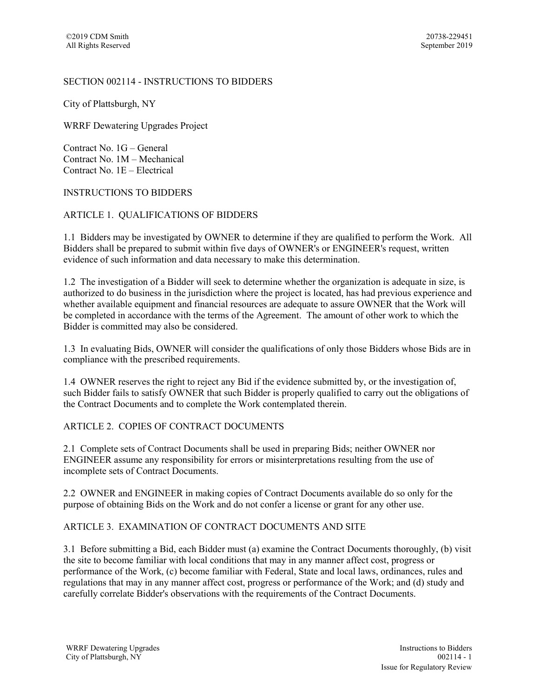#### SECTION 002114 - INSTRUCTIONS TO BIDDERS

City of Plattsburgh, NY

WRRF Dewatering Upgrades Project

Contract No. 1G – General Contract No. 1M – Mechanical Contract No. 1E – Electrical

#### INSTRUCTIONS TO BIDDERS

### ARTICLE 1. QUALIFICATIONS OF BIDDERS

1.1 Bidders may be investigated by OWNER to determine if they are qualified to perform the Work. All Bidders shall be prepared to submit within five days of OWNER's or ENGINEER's request, written evidence of such information and data necessary to make this determination.

1.2 The investigation of a Bidder will seek to determine whether the organization is adequate in size, is authorized to do business in the jurisdiction where the project is located, has had previous experience and whether available equipment and financial resources are adequate to assure OWNER that the Work will be completed in accordance with the terms of the Agreement. The amount of other work to which the Bidder is committed may also be considered.

1.3 In evaluating Bids, OWNER will consider the qualifications of only those Bidders whose Bids are in compliance with the prescribed requirements.

1.4 OWNER reserves the right to reject any Bid if the evidence submitted by, or the investigation of, such Bidder fails to satisfy OWNER that such Bidder is properly qualified to carry out the obligations of the Contract Documents and to complete the Work contemplated therein.

### ARTICLE 2. COPIES OF CONTRACT DOCUMENTS

2.1 Complete sets of Contract Documents shall be used in preparing Bids; neither OWNER nor ENGINEER assume any responsibility for errors or misinterpretations resulting from the use of incomplete sets of Contract Documents.

2.2 OWNER and ENGINEER in making copies of Contract Documents available do so only for the purpose of obtaining Bids on the Work and do not confer a license or grant for any other use.

#### ARTICLE 3. EXAMINATION OF CONTRACT DOCUMENTS AND SITE

3.1 Before submitting a Bid, each Bidder must (a) examine the Contract Documents thoroughly, (b) visit the site to become familiar with local conditions that may in any manner affect cost, progress or performance of the Work, (c) become familiar with Federal, State and local laws, ordinances, rules and regulations that may in any manner affect cost, progress or performance of the Work; and (d) study and carefully correlate Bidder's observations with the requirements of the Contract Documents.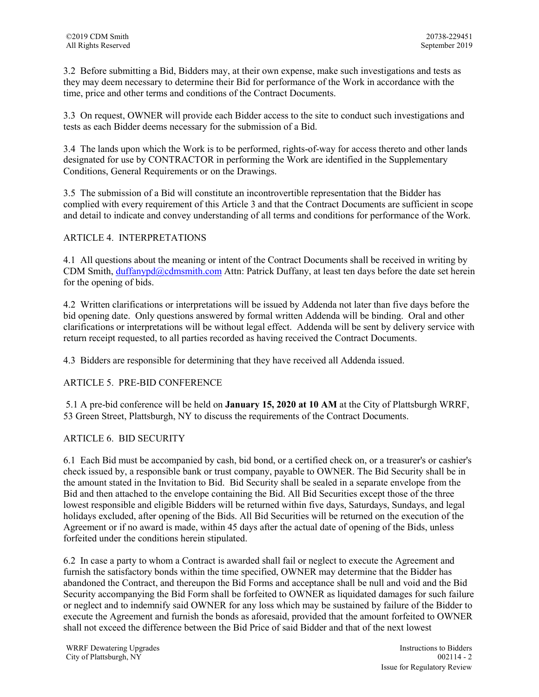3.2 Before submitting a Bid, Bidders may, at their own expense, make such investigations and tests as they may deem necessary to determine their Bid for performance of the Work in accordance with the time, price and other terms and conditions of the Contract Documents.

3.3 On request, OWNER will provide each Bidder access to the site to conduct such investigations and tests as each Bidder deems necessary for the submission of a Bid.

3.4 The lands upon which the Work is to be performed, rights-of-way for access thereto and other lands designated for use by CONTRACTOR in performing the Work are identified in the Supplementary Conditions, General Requirements or on the Drawings.

3.5 The submission of a Bid will constitute an incontrovertible representation that the Bidder has complied with every requirement of this Article 3 and that the Contract Documents are sufficient in scope and detail to indicate and convey understanding of all terms and conditions for performance of the Work.

### ARTICLE 4. INTERPRETATIONS

4.1 All questions about the meaning or intent of the Contract Documents shall be received in writing by CDM Smith, duffanypd@cdmsmith.com Attn: Patrick Duffany, at least ten days before the date set herein for the opening of bids.

4.2 Written clarifications or interpretations will be issued by Addenda not later than five days before the bid opening date. Only questions answered by formal written Addenda will be binding. Oral and other clarifications or interpretations will be without legal effect. Addenda will be sent by delivery service with return receipt requested, to all parties recorded as having received the Contract Documents.

4.3 Bidders are responsible for determining that they have received all Addenda issued.

### ARTICLE 5. PRE-BID CONFERENCE

 5.1 A pre-bid conference will be held on **January 15, 2020 at 10 AM** at the City of Plattsburgh WRRF, 53 Green Street, Plattsburgh, NY to discuss the requirements of the Contract Documents.

### ARTICLE 6. BID SECURITY

6.1 Each Bid must be accompanied by cash, bid bond, or a certified check on, or a treasurer's or cashier's check issued by, a responsible bank or trust company, payable to OWNER. The Bid Security shall be in the amount stated in the Invitation to Bid. Bid Security shall be sealed in a separate envelope from the Bid and then attached to the envelope containing the Bid. All Bid Securities except those of the three lowest responsible and eligible Bidders will be returned within five days, Saturdays, Sundays, and legal holidays excluded, after opening of the Bids. All Bid Securities will be returned on the execution of the Agreement or if no award is made, within 45 days after the actual date of opening of the Bids, unless forfeited under the conditions herein stipulated.

6.2 In case a party to whom a Contract is awarded shall fail or neglect to execute the Agreement and furnish the satisfactory bonds within the time specified, OWNER may determine that the Bidder has abandoned the Contract, and thereupon the Bid Forms and acceptance shall be null and void and the Bid Security accompanying the Bid Form shall be forfeited to OWNER as liquidated damages for such failure or neglect and to indemnify said OWNER for any loss which may be sustained by failure of the Bidder to execute the Agreement and furnish the bonds as aforesaid, provided that the amount forfeited to OWNER shall not exceed the difference between the Bid Price of said Bidder and that of the next lowest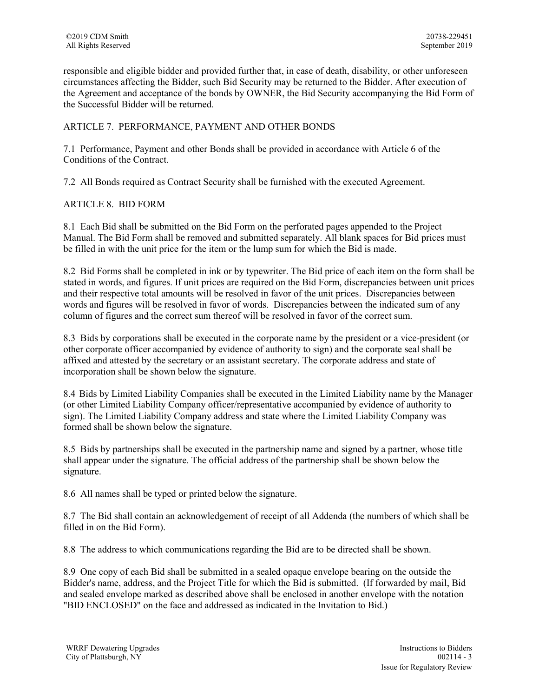responsible and eligible bidder and provided further that, in case of death, disability, or other unforeseen circumstances affecting the Bidder, such Bid Security may be returned to the Bidder. After execution of the Agreement and acceptance of the bonds by OWNER, the Bid Security accompanying the Bid Form of the Successful Bidder will be returned.

# ARTICLE 7. PERFORMANCE, PAYMENT AND OTHER BONDS

7.1 Performance, Payment and other Bonds shall be provided in accordance with Article 6 of the Conditions of the Contract.

7.2 All Bonds required as Contract Security shall be furnished with the executed Agreement.

### ARTICLE 8. BID FORM

8.1 Each Bid shall be submitted on the Bid Form on the perforated pages appended to the Project Manual. The Bid Form shall be removed and submitted separately. All blank spaces for Bid prices must be filled in with the unit price for the item or the lump sum for which the Bid is made.

8.2 Bid Forms shall be completed in ink or by typewriter. The Bid price of each item on the form shall be stated in words, and figures. If unit prices are required on the Bid Form, discrepancies between unit prices and their respective total amounts will be resolved in favor of the unit prices. Discrepancies between words and figures will be resolved in favor of words. Discrepancies between the indicated sum of any column of figures and the correct sum thereof will be resolved in favor of the correct sum.

8.3 Bids by corporations shall be executed in the corporate name by the president or a vice-president (or other corporate officer accompanied by evidence of authority to sign) and the corporate seal shall be affixed and attested by the secretary or an assistant secretary. The corporate address and state of incorporation shall be shown below the signature.

8.4 Bids by Limited Liability Companies shall be executed in the Limited Liability name by the Manager (or other Limited Liability Company officer/representative accompanied by evidence of authority to sign). The Limited Liability Company address and state where the Limited Liability Company was formed shall be shown below the signature.

8.5 Bids by partnerships shall be executed in the partnership name and signed by a partner, whose title shall appear under the signature. The official address of the partnership shall be shown below the signature.

8.6 All names shall be typed or printed below the signature.

8.7 The Bid shall contain an acknowledgement of receipt of all Addenda (the numbers of which shall be filled in on the Bid Form).

8.8 The address to which communications regarding the Bid are to be directed shall be shown.

8.9 One copy of each Bid shall be submitted in a sealed opaque envelope bearing on the outside the Bidder's name, address, and the Project Title for which the Bid is submitted. (If forwarded by mail, Bid and sealed envelope marked as described above shall be enclosed in another envelope with the notation "BID ENCLOSED" on the face and addressed as indicated in the Invitation to Bid.)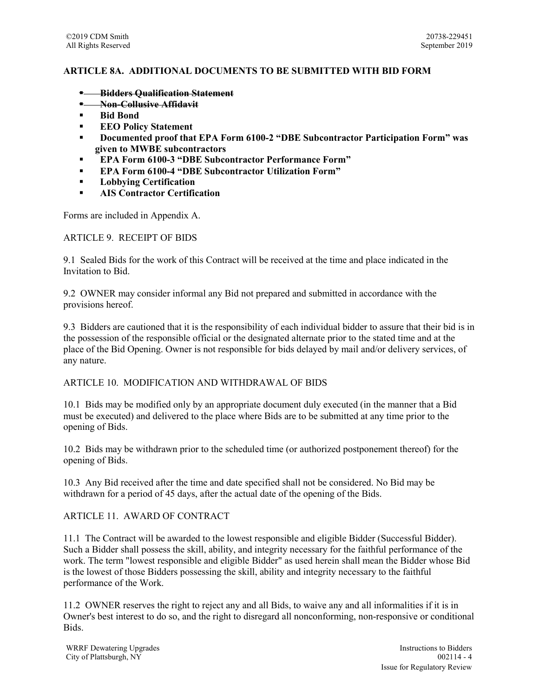### **ARTICLE 8A. ADDITIONAL DOCUMENTS TO BE SUBMITTED WITH BID FORM**

- **Bidders Qualification Statement**
- **Non-Collusive Affidavit**
- **Bid Bond**
- **EEO Policy Statement**
- **Documented proof that EPA Form 6100-2 "DBE Subcontractor Participation Form" was given to MWBE subcontractors**
- **EPA Form 6100-3 "DBE Subcontractor Performance Form"**
- **EPA Form 6100-4 "DBE Subcontractor Utilization Form"**
- **Lobbying Certification**
- **AIS Contractor Certification**

Forms are included in Appendix A.

#### ARTICLE 9. RECEIPT OF BIDS

9.1 Sealed Bids for the work of this Contract will be received at the time and place indicated in the Invitation to Bid.

9.2 OWNER may consider informal any Bid not prepared and submitted in accordance with the provisions hereof.

9.3 Bidders are cautioned that it is the responsibility of each individual bidder to assure that their bid is in the possession of the responsible official or the designated alternate prior to the stated time and at the place of the Bid Opening. Owner is not responsible for bids delayed by mail and/or delivery services, of any nature.

#### ARTICLE 10. MODIFICATION AND WITHDRAWAL OF BIDS

10.1 Bids may be modified only by an appropriate document duly executed (in the manner that a Bid must be executed) and delivered to the place where Bids are to be submitted at any time prior to the opening of Bids.

10.2 Bids may be withdrawn prior to the scheduled time (or authorized postponement thereof) for the opening of Bids.

10.3 Any Bid received after the time and date specified shall not be considered. No Bid may be withdrawn for a period of 45 days, after the actual date of the opening of the Bids.

#### ARTICLE 11. AWARD OF CONTRACT

11.1 The Contract will be awarded to the lowest responsible and eligible Bidder (Successful Bidder). Such a Bidder shall possess the skill, ability, and integrity necessary for the faithful performance of the work. The term "lowest responsible and eligible Bidder" as used herein shall mean the Bidder whose Bid is the lowest of those Bidders possessing the skill, ability and integrity necessary to the faithful performance of the Work.

11.2 OWNER reserves the right to reject any and all Bids, to waive any and all informalities if it is in Owner's best interest to do so, and the right to disregard all nonconforming, non-responsive or conditional Bids.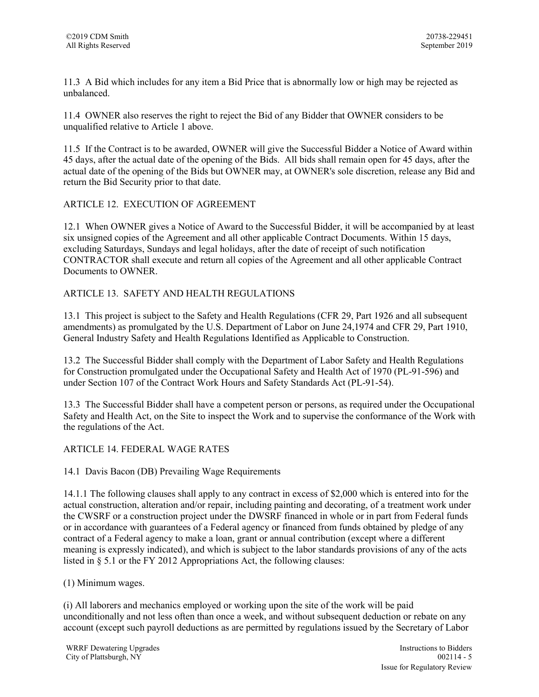11.3 A Bid which includes for any item a Bid Price that is abnormally low or high may be rejected as unbalanced.

11.4 OWNER also reserves the right to reject the Bid of any Bidder that OWNER considers to be unqualified relative to Article 1 above.

11.5 If the Contract is to be awarded, OWNER will give the Successful Bidder a Notice of Award within 45 days, after the actual date of the opening of the Bids. All bids shall remain open for 45 days, after the actual date of the opening of the Bids but OWNER may, at OWNER's sole discretion, release any Bid and return the Bid Security prior to that date.

### ARTICLE 12. EXECUTION OF AGREEMENT

12.1 When OWNER gives a Notice of Award to the Successful Bidder, it will be accompanied by at least six unsigned copies of the Agreement and all other applicable Contract Documents. Within 15 days, excluding Saturdays, Sundays and legal holidays, after the date of receipt of such notification CONTRACTOR shall execute and return all copies of the Agreement and all other applicable Contract Documents to OWNER.

## ARTICLE 13. SAFETY AND HEALTH REGULATIONS

13.1 This project is subject to the Safety and Health Regulations (CFR 29, Part 1926 and all subsequent amendments) as promulgated by the U.S. Department of Labor on June 24,1974 and CFR 29, Part 1910, General Industry Safety and Health Regulations Identified as Applicable to Construction.

13.2 The Successful Bidder shall comply with the Department of Labor Safety and Health Regulations for Construction promulgated under the Occupational Safety and Health Act of 1970 (PL-91-596) and under Section 107 of the Contract Work Hours and Safety Standards Act (PL-91-54).

13.3 The Successful Bidder shall have a competent person or persons, as required under the Occupational Safety and Health Act, on the Site to inspect the Work and to supervise the conformance of the Work with the regulations of the Act.

## ARTICLE 14. FEDERAL WAGE RATES

14.1 Davis Bacon (DB) Prevailing Wage Requirements

14.1.1 The following clauses shall apply to any contract in excess of \$2,000 which is entered into for the actual construction, alteration and/or repair, including painting and decorating, of a treatment work under the CWSRF or a construction project under the DWSRF financed in whole or in part from Federal funds or in accordance with guarantees of a Federal agency or financed from funds obtained by pledge of any contract of a Federal agency to make a loan, grant or annual contribution (except where a different meaning is expressly indicated), and which is subject to the labor standards provisions of any of the acts listed in § 5.1 or the FY 2012 Appropriations Act, the following clauses:

(1) Minimum wages.

(i) All laborers and mechanics employed or working upon the site of the work will be paid unconditionally and not less often than once a week, and without subsequent deduction or rebate on any account (except such payroll deductions as are permitted by regulations issued by the Secretary of Labor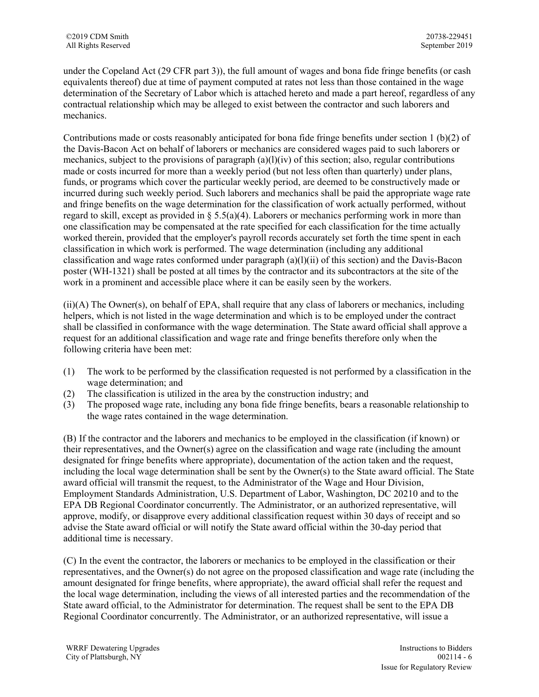under the Copeland Act (29 CFR part 3)), the full amount of wages and bona fide fringe benefits (or cash equivalents thereof) due at time of payment computed at rates not less than those contained in the wage determination of the Secretary of Labor which is attached hereto and made a part hereof, regardless of any contractual relationship which may be alleged to exist between the contractor and such laborers and mechanics.

Contributions made or costs reasonably anticipated for bona fide fringe benefits under section 1 (b)(2) of the Davis-Bacon Act on behalf of laborers or mechanics are considered wages paid to such laborers or mechanics, subject to the provisions of paragraph  $(a)(l)(iv)$  of this section; also, regular contributions made or costs incurred for more than a weekly period (but not less often than quarterly) under plans, funds, or programs which cover the particular weekly period, are deemed to be constructively made or incurred during such weekly period. Such laborers and mechanics shall be paid the appropriate wage rate and fringe benefits on the wage determination for the classification of work actually performed, without regard to skill, except as provided in  $\S 5.5(a)(4)$ . Laborers or mechanics performing work in more than one classification may be compensated at the rate specified for each classification for the time actually worked therein, provided that the employer's payroll records accurately set forth the time spent in each classification in which work is performed. The wage determination (including any additional classification and wage rates conformed under paragraph (a)(l)(ii) of this section) and the Davis-Bacon poster (WH-1321) shall be posted at all times by the contractor and its subcontractors at the site of the work in a prominent and accessible place where it can be easily seen by the workers.

(ii)(A) The Owner(s), on behalf of EPA, shall require that any class of laborers or mechanics, including helpers, which is not listed in the wage determination and which is to be employed under the contract shall be classified in conformance with the wage determination. The State award official shall approve a request for an additional classification and wage rate and fringe benefits therefore only when the following criteria have been met:

- (1) The work to be performed by the classification requested is not performed by a classification in the wage determination; and
- (2) The classification is utilized in the area by the construction industry; and
- (3) The proposed wage rate, including any bona fide fringe benefits, bears a reasonable relationship to the wage rates contained in the wage determination.

(B) If the contractor and the laborers and mechanics to be employed in the classification (if known) or their representatives, and the Owner(s) agree on the classification and wage rate (including the amount designated for fringe benefits where appropriate), documentation of the action taken and the request, including the local wage determination shall be sent by the Owner(s) to the State award official. The State award official will transmit the request, to the Administrator of the Wage and Hour Division, Employment Standards Administration, U.S. Department of Labor, Washington, DC 20210 and to the EPA DB Regional Coordinator concurrently. The Administrator, or an authorized representative, will approve, modify, or disapprove every additional classification request within 30 days of receipt and so advise the State award official or will notify the State award official within the 30-day period that additional time is necessary.

(C) In the event the contractor, the laborers or mechanics to be employed in the classification or their representatives, and the Owner(s) do not agree on the proposed classification and wage rate (including the amount designated for fringe benefits, where appropriate), the award official shall refer the request and the local wage determination, including the views of all interested parties and the recommendation of the State award official, to the Administrator for determination. The request shall be sent to the EPA DB Regional Coordinator concurrently. The Administrator, or an authorized representative, will issue a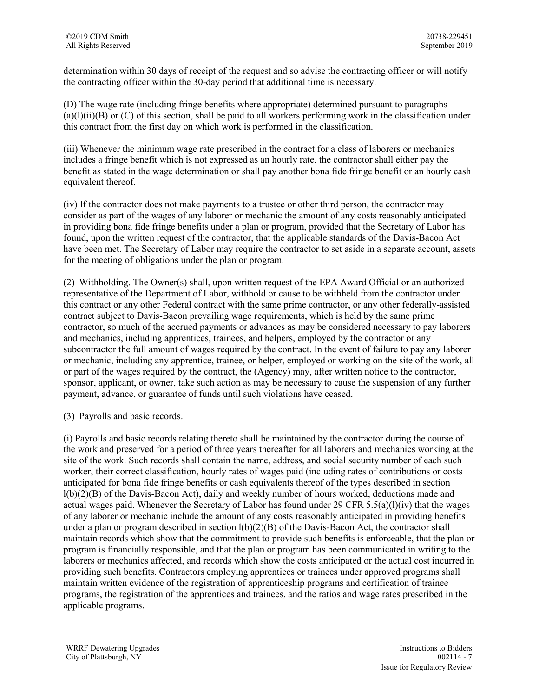determination within 30 days of receipt of the request and so advise the contracting officer or will notify the contracting officer within the 30-day period that additional time is necessary.

(D) The wage rate (including fringe benefits where appropriate) determined pursuant to paragraphs  $(a)(l)(ii)(B)$  or  $(C)$  of this section, shall be paid to all workers performing work in the classification under this contract from the first day on which work is performed in the classification.

(iii) Whenever the minimum wage rate prescribed in the contract for a class of laborers or mechanics includes a fringe benefit which is not expressed as an hourly rate, the contractor shall either pay the benefit as stated in the wage determination or shall pay another bona fide fringe benefit or an hourly cash equivalent thereof.

(iv) If the contractor does not make payments to a trustee or other third person, the contractor may consider as part of the wages of any laborer or mechanic the amount of any costs reasonably anticipated in providing bona fide fringe benefits under a plan or program, provided that the Secretary of Labor has found, upon the written request of the contractor, that the applicable standards of the Davis-Bacon Act have been met. The Secretary of Labor may require the contractor to set aside in a separate account, assets for the meeting of obligations under the plan or program.

(2) Withholding. The Owner(s) shall, upon written request of the EPA Award Official or an authorized representative of the Department of Labor, withhold or cause to be withheld from the contractor under this contract or any other Federal contract with the same prime contractor, or any other federally-assisted contract subject to Davis-Bacon prevailing wage requirements, which is held by the same prime contractor, so much of the accrued payments or advances as may be considered necessary to pay laborers and mechanics, including apprentices, trainees, and helpers, employed by the contractor or any subcontractor the full amount of wages required by the contract. In the event of failure to pay any laborer or mechanic, including any apprentice, trainee, or helper, employed or working on the site of the work, all or part of the wages required by the contract, the (Agency) may, after written notice to the contractor, sponsor, applicant, or owner, take such action as may be necessary to cause the suspension of any further payment, advance, or guarantee of funds until such violations have ceased.

(3) Payrolls and basic records.

(i) Payrolls and basic records relating thereto shall be maintained by the contractor during the course of the work and preserved for a period of three years thereafter for all laborers and mechanics working at the site of the work. Such records shall contain the name, address, and social security number of each such worker, their correct classification, hourly rates of wages paid (including rates of contributions or costs anticipated for bona fide fringe benefits or cash equivalents thereof of the types described in section l(b)(2)(B) of the Davis-Bacon Act), daily and weekly number of hours worked, deductions made and actual wages paid. Whenever the Secretary of Labor has found under 29 CFR 5.5(a)(l)(iv) that the wages of any laborer or mechanic include the amount of any costs reasonably anticipated in providing benefits under a plan or program described in section  $l(b)(2)(B)$  of the Davis-Bacon Act, the contractor shall maintain records which show that the commitment to provide such benefits is enforceable, that the plan or program is financially responsible, and that the plan or program has been communicated in writing to the laborers or mechanics affected, and records which show the costs anticipated or the actual cost incurred in providing such benefits. Contractors employing apprentices or trainees under approved programs shall maintain written evidence of the registration of apprenticeship programs and certification of trainee programs, the registration of the apprentices and trainees, and the ratios and wage rates prescribed in the applicable programs.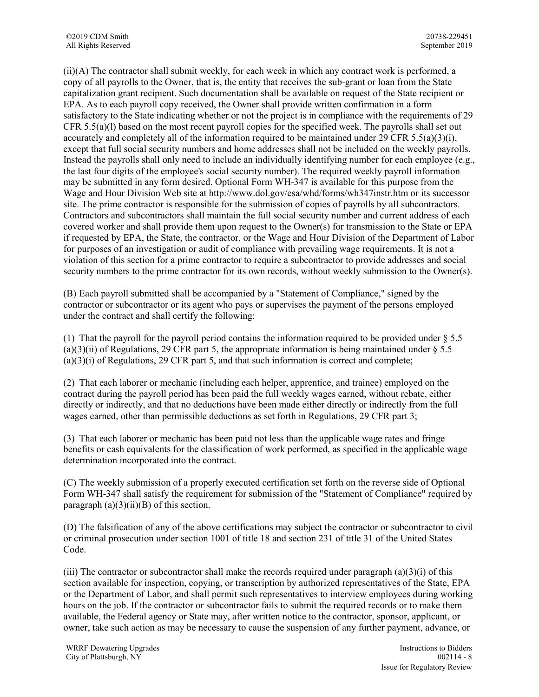(ii)(A) The contractor shall submit weekly, for each week in which any contract work is performed, a copy of all payrolls to the Owner, that is, the entity that receives the sub-grant or loan from the State capitalization grant recipient. Such documentation shall be available on request of the State recipient or EPA. As to each payroll copy received, the Owner shall provide written confirmation in a form satisfactory to the State indicating whether or not the project is in compliance with the requirements of 29 CFR 5.5(a)(l) based on the most recent payroll copies for the specified week. The payrolls shall set out accurately and completely all of the information required to be maintained under 29 CFR 5.5(a)(3)(i), except that full social security numbers and home addresses shall not be included on the weekly payrolls. Instead the payrolls shall only need to include an individually identifying number for each employee (e.g., the last four digits of the employee's social security number). The required weekly payroll information may be submitted in any form desired. Optional Form WH-347 is available for this purpose from the Wage and Hour Division Web site at http://www.dol.gov/esa/whd/forms/wh347instr.htm or its successor site. The prime contractor is responsible for the submission of copies of payrolls by all subcontractors. Contractors and subcontractors shall maintain the full social security number and current address of each covered worker and shall provide them upon request to the Owner(s) for transmission to the State or EPA if requested by EPA, the State, the contractor, or the Wage and Hour Division of the Department of Labor for purposes of an investigation or audit of compliance with prevailing wage requirements. It is not a violation of this section for a prime contractor to require a subcontractor to provide addresses and social security numbers to the prime contractor for its own records, without weekly submission to the Owner(s).

(B) Each payroll submitted shall be accompanied by a "Statement of Compliance," signed by the contractor or subcontractor or its agent who pays or supervises the payment of the persons employed under the contract and shall certify the following:

(1) That the payroll for the payroll period contains the information required to be provided under § 5.5  $(a)(3)(ii)$  of Regulations, 29 CFR part 5, the appropriate information is being maintained under  $\S 5.5$  $(a)(3)(i)$  of Regulations, 29 CFR part 5, and that such information is correct and complete;

(2) That each laborer or mechanic (including each helper, apprentice, and trainee) employed on the contract during the payroll period has been paid the full weekly wages earned, without rebate, either directly or indirectly, and that no deductions have been made either directly or indirectly from the full wages earned, other than permissible deductions as set forth in Regulations, 29 CFR part 3;

(3) That each laborer or mechanic has been paid not less than the applicable wage rates and fringe benefits or cash equivalents for the classification of work performed, as specified in the applicable wage determination incorporated into the contract.

(C) The weekly submission of a properly executed certification set forth on the reverse side of Optional Form WH-347 shall satisfy the requirement for submission of the "Statement of Compliance" required by paragraph  $(a)(3)(ii)(B)$  of this section.

(D) The falsification of any of the above certifications may subject the contractor or subcontractor to civil or criminal prosecution under section 1001 of title 18 and section 231 of title 31 of the United States Code.

(iii) The contractor or subcontractor shall make the records required under paragraph  $(a)(3)(i)$  of this section available for inspection, copying, or transcription by authorized representatives of the State, EPA or the Department of Labor, and shall permit such representatives to interview employees during working hours on the job. If the contractor or subcontractor fails to submit the required records or to make them available, the Federal agency or State may, after written notice to the contractor, sponsor, applicant, or owner, take such action as may be necessary to cause the suspension of any further payment, advance, or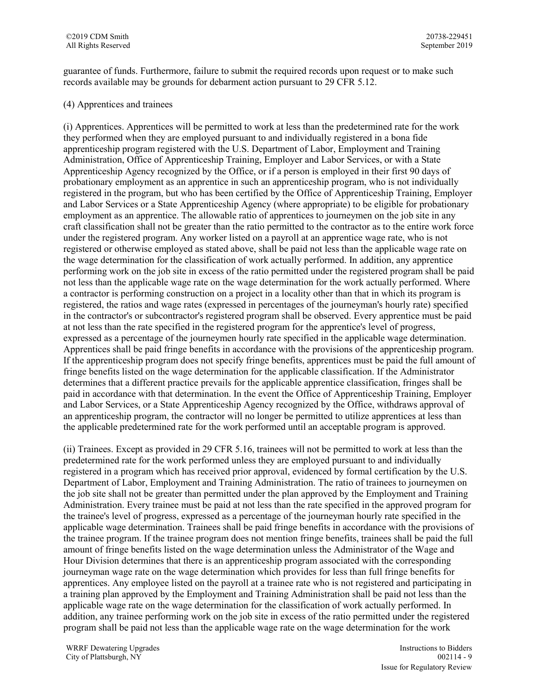guarantee of funds. Furthermore, failure to submit the required records upon request or to make such records available may be grounds for debarment action pursuant to 29 CFR 5.12.

### (4) Apprentices and trainees

(i) Apprentices. Apprentices will be permitted to work at less than the predetermined rate for the work they performed when they are employed pursuant to and individually registered in a bona fide apprenticeship program registered with the U.S. Department of Labor, Employment and Training Administration, Office of Apprenticeship Training, Employer and Labor Services, or with a State Apprenticeship Agency recognized by the Office, or if a person is employed in their first 90 days of probationary employment as an apprentice in such an apprenticeship program, who is not individually registered in the program, but who has been certified by the Office of Apprenticeship Training, Employer and Labor Services or a State Apprenticeship Agency (where appropriate) to be eligible for probationary employment as an apprentice. The allowable ratio of apprentices to journeymen on the job site in any craft classification shall not be greater than the ratio permitted to the contractor as to the entire work force under the registered program. Any worker listed on a payroll at an apprentice wage rate, who is not registered or otherwise employed as stated above, shall be paid not less than the applicable wage rate on the wage determination for the classification of work actually performed. In addition, any apprentice performing work on the job site in excess of the ratio permitted under the registered program shall be paid not less than the applicable wage rate on the wage determination for the work actually performed. Where a contractor is performing construction on a project in a locality other than that in which its program is registered, the ratios and wage rates (expressed in percentages of the journeyman's hourly rate) specified in the contractor's or subcontractor's registered program shall be observed. Every apprentice must be paid at not less than the rate specified in the registered program for the apprentice's level of progress, expressed as a percentage of the journeymen hourly rate specified in the applicable wage determination. Apprentices shall be paid fringe benefits in accordance with the provisions of the apprenticeship program. If the apprenticeship program does not specify fringe benefits, apprentices must be paid the full amount of fringe benefits listed on the wage determination for the applicable classification. If the Administrator determines that a different practice prevails for the applicable apprentice classification, fringes shall be paid in accordance with that determination. In the event the Office of Apprenticeship Training, Employer and Labor Services, or a State Apprenticeship Agency recognized by the Office, withdraws approval of an apprenticeship program, the contractor will no longer be permitted to utilize apprentices at less than the applicable predetermined rate for the work performed until an acceptable program is approved.

(ii) Trainees. Except as provided in 29 CFR 5.16, trainees will not be permitted to work at less than the predetermined rate for the work performed unless they are employed pursuant to and individually registered in a program which has received prior approval, evidenced by formal certification by the U.S. Department of Labor, Employment and Training Administration. The ratio of trainees to journeymen on the job site shall not be greater than permitted under the plan approved by the Employment and Training Administration. Every trainee must be paid at not less than the rate specified in the approved program for the trainee's level of progress, expressed as a percentage of the journeyman hourly rate specified in the applicable wage determination. Trainees shall be paid fringe benefits in accordance with the provisions of the trainee program. If the trainee program does not mention fringe benefits, trainees shall be paid the full amount of fringe benefits listed on the wage determination unless the Administrator of the Wage and Hour Division determines that there is an apprenticeship program associated with the corresponding journeyman wage rate on the wage determination which provides for less than full fringe benefits for apprentices. Any employee listed on the payroll at a trainee rate who is not registered and participating in a training plan approved by the Employment and Training Administration shall be paid not less than the applicable wage rate on the wage determination for the classification of work actually performed. In addition, any trainee performing work on the job site in excess of the ratio permitted under the registered program shall be paid not less than the applicable wage rate on the wage determination for the work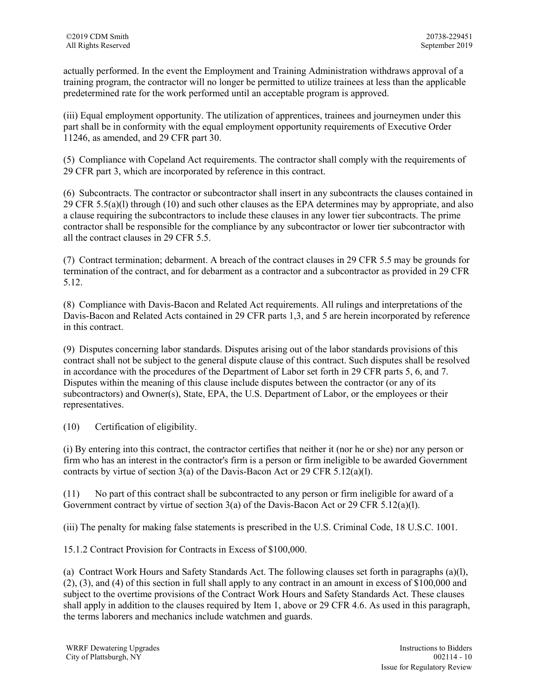actually performed. In the event the Employment and Training Administration withdraws approval of a training program, the contractor will no longer be permitted to utilize trainees at less than the applicable predetermined rate for the work performed until an acceptable program is approved.

(iii) Equal employment opportunity. The utilization of apprentices, trainees and journeymen under this part shall be in conformity with the equal employment opportunity requirements of Executive Order 11246, as amended, and 29 CFR part 30.

(5) Compliance with Copeland Act requirements. The contractor shall comply with the requirements of 29 CFR part 3, which are incorporated by reference in this contract.

(6) Subcontracts. The contractor or subcontractor shall insert in any subcontracts the clauses contained in 29 CFR 5.5(a)(l) through (10) and such other clauses as the EPA determines may by appropriate, and also a clause requiring the subcontractors to include these clauses in any lower tier subcontracts. The prime contractor shall be responsible for the compliance by any subcontractor or lower tier subcontractor with all the contract clauses in 29 CFR 5.5.

(7) Contract termination; debarment. A breach of the contract clauses in 29 CFR 5.5 may be grounds for termination of the contract, and for debarment as a contractor and a subcontractor as provided in 29 CFR 5.12.

(8) Compliance with Davis-Bacon and Related Act requirements. All rulings and interpretations of the Davis-Bacon and Related Acts contained in 29 CFR parts 1,3, and 5 are herein incorporated by reference in this contract.

(9) Disputes concerning labor standards. Disputes arising out of the labor standards provisions of this contract shall not be subject to the general dispute clause of this contract. Such disputes shall be resolved in accordance with the procedures of the Department of Labor set forth in 29 CFR parts 5, 6, and 7. Disputes within the meaning of this clause include disputes between the contractor (or any of its subcontractors) and Owner(s), State, EPA, the U.S. Department of Labor, or the employees or their representatives.

(10) Certification of eligibility.

(i) By entering into this contract, the contractor certifies that neither it (nor he or she) nor any person or firm who has an interest in the contractor's firm is a person or firm ineligible to be awarded Government contracts by virtue of section 3(a) of the Davis-Bacon Act or 29 CFR 5.12(a)(l).

(11) No part of this contract shall be subcontracted to any person or firm ineligible for award of a Government contract by virtue of section  $3(a)$  of the Davis-Bacon Act or 29 CFR 5.12(a)(1).

(iii) The penalty for making false statements is prescribed in the U.S. Criminal Code, 18 U.S.C. 1001.

15.1.2 Contract Provision for Contracts in Excess of \$100,000.

(a) Contract Work Hours and Safety Standards Act. The following clauses set forth in paragraphs (a)(l), (2), (3), and (4) of this section in full shall apply to any contract in an amount in excess of \$100,000 and subject to the overtime provisions of the Contract Work Hours and Safety Standards Act. These clauses shall apply in addition to the clauses required by Item 1, above or 29 CFR 4.6. As used in this paragraph, the terms laborers and mechanics include watchmen and guards.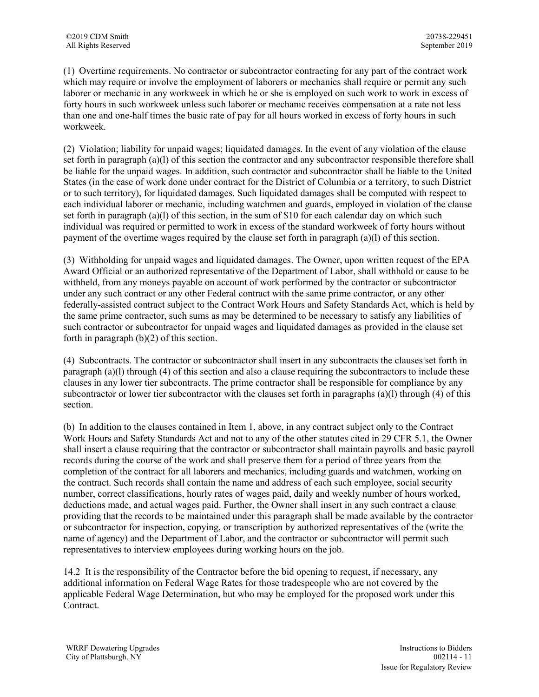(1) Overtime requirements. No contractor or subcontractor contracting for any part of the contract work which may require or involve the employment of laborers or mechanics shall require or permit any such laborer or mechanic in any workweek in which he or she is employed on such work to work in excess of forty hours in such workweek unless such laborer or mechanic receives compensation at a rate not less than one and one-half times the basic rate of pay for all hours worked in excess of forty hours in such workweek.

(2) Violation; liability for unpaid wages; liquidated damages. In the event of any violation of the clause set forth in paragraph (a)(l) of this section the contractor and any subcontractor responsible therefore shall be liable for the unpaid wages. In addition, such contractor and subcontractor shall be liable to the United States (in the case of work done under contract for the District of Columbia or a territory, to such District or to such territory), for liquidated damages. Such liquidated damages shall be computed with respect to each individual laborer or mechanic, including watchmen and guards, employed in violation of the clause set forth in paragraph (a)(l) of this section, in the sum of \$10 for each calendar day on which such individual was required or permitted to work in excess of the standard workweek of forty hours without payment of the overtime wages required by the clause set forth in paragraph (a)(l) of this section.

(3) Withholding for unpaid wages and liquidated damages. The Owner, upon written request of the EPA Award Official or an authorized representative of the Department of Labor, shall withhold or cause to be withheld, from any moneys payable on account of work performed by the contractor or subcontractor under any such contract or any other Federal contract with the same prime contractor, or any other federally-assisted contract subject to the Contract Work Hours and Safety Standards Act, which is held by the same prime contractor, such sums as may be determined to be necessary to satisfy any liabilities of such contractor or subcontractor for unpaid wages and liquidated damages as provided in the clause set forth in paragraph  $(b)(2)$  of this section.

(4) Subcontracts. The contractor or subcontractor shall insert in any subcontracts the clauses set forth in paragraph (a)(l) through (4) of this section and also a clause requiring the subcontractors to include these clauses in any lower tier subcontracts. The prime contractor shall be responsible for compliance by any subcontractor or lower tier subcontractor with the clauses set forth in paragraphs (a)(l) through (4) of this section.

(b) In addition to the clauses contained in Item 1, above, in any contract subject only to the Contract Work Hours and Safety Standards Act and not to any of the other statutes cited in 29 CFR 5.1, the Owner shall insert a clause requiring that the contractor or subcontractor shall maintain payrolls and basic payroll records during the course of the work and shall preserve them for a period of three years from the completion of the contract for all laborers and mechanics, including guards and watchmen, working on the contract. Such records shall contain the name and address of each such employee, social security number, correct classifications, hourly rates of wages paid, daily and weekly number of hours worked, deductions made, and actual wages paid. Further, the Owner shall insert in any such contract a clause providing that the records to be maintained under this paragraph shall be made available by the contractor or subcontractor for inspection, copying, or transcription by authorized representatives of the (write the name of agency) and the Department of Labor, and the contractor or subcontractor will permit such representatives to interview employees during working hours on the job.

14.2 It is the responsibility of the Contractor before the bid opening to request, if necessary, any additional information on Federal Wage Rates for those tradespeople who are not covered by the applicable Federal Wage Determination, but who may be employed for the proposed work under this Contract.